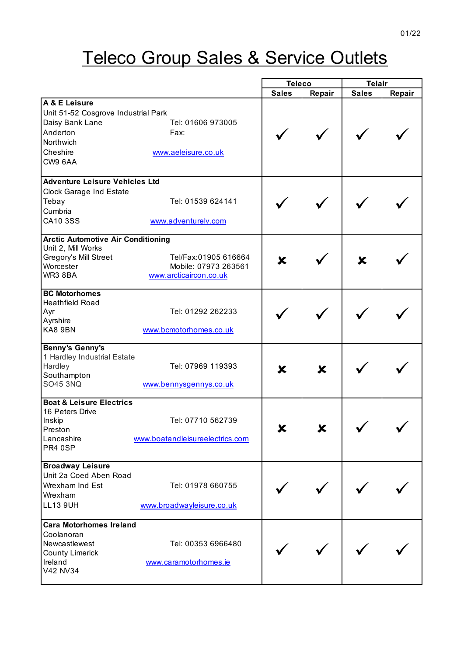## **Teleco Group Sales & Service Outlets**

|                                           |                                 | <b>Teleco</b> |                           | <b>Telair</b> |        |
|-------------------------------------------|---------------------------------|---------------|---------------------------|---------------|--------|
|                                           |                                 | <b>Sales</b>  | Repair                    | <b>Sales</b>  | Repair |
| A & E Leisure                             |                                 |               |                           |               |        |
| Unit 51-52 Cosgrove Industrial Park       |                                 |               |                           |               |        |
| Daisy Bank Lane                           | Tel: 01606 973005               |               |                           |               |        |
| Anderton                                  | Fax:                            |               |                           |               |        |
| Northwich                                 |                                 |               |                           |               |        |
| Cheshire                                  | www.aeleisure.co.uk             |               |                           |               |        |
| CW9 6AA                                   |                                 |               |                           |               |        |
| <b>Adventure Leisure Vehicles Ltd</b>     |                                 |               |                           |               |        |
| Clock Garage Ind Estate                   |                                 |               |                           |               |        |
| Tebay                                     | Tel: 01539 624141               |               |                           |               |        |
| Cumbria                                   |                                 |               |                           |               |        |
| CA10 3SS                                  | www.adventurelv.com             |               |                           |               |        |
|                                           |                                 |               |                           |               |        |
| <b>Arctic Automotive Air Conditioning</b> |                                 |               |                           |               |        |
| Unit 2, Mill Works                        | Tel/Fax:01905 616664            |               |                           |               |        |
| Gregory's Mill Street<br>Worcester        | Mobile: 07973 263561            | X             |                           | X             |        |
| WR3 8BA                                   | www.arcticaircon.co.uk          |               |                           |               |        |
|                                           |                                 |               |                           |               |        |
| <b>BC Motorhomes</b>                      |                                 |               |                           |               |        |
| <b>Heathfield Road</b>                    |                                 |               |                           |               |        |
| Ayr                                       | Tel: 01292 262233               |               |                           |               |        |
| Ayrshire<br>KA8 9BN                       | www.bcmotorhomes.co.uk          |               |                           |               |        |
|                                           |                                 |               |                           |               |        |
| <b>Benny's Genny's</b>                    |                                 |               |                           |               |        |
| 1 Hardley Industrial Estate               |                                 |               |                           |               |        |
| Hardley                                   | Tel: 07969 119393               | X             | $\boldsymbol{\mathsf{x}}$ |               |        |
| Southampton                               |                                 |               |                           |               |        |
| <b>SO45 3NQ</b>                           | www.bennysgennys.co.uk          |               |                           |               |        |
| <b>Boat &amp; Leisure Electrics</b>       |                                 |               |                           |               |        |
| 16 Peters Drive                           |                                 |               |                           |               |        |
| Inskip                                    | Tel: 07710 562739               |               |                           |               |        |
| Preston                                   |                                 |               |                           |               |        |
| Lancashire<br>PR4 0SP                     | www.boatandleisureelectrics.com |               |                           |               |        |
|                                           |                                 |               |                           |               |        |
| <b>Broadway Leisure</b>                   |                                 |               |                           |               |        |
| Unit 2a Coed Aben Road                    |                                 |               |                           |               |        |
| Wrexham Ind Est                           | Tel: 01978 660755               |               |                           |               |        |
| Wrexham                                   |                                 |               |                           |               |        |
| <b>LL13 9UH</b>                           | www.broadwayleisure.co.uk       |               |                           |               |        |
| <b>Cara Motorhomes Ireland</b>            |                                 |               |                           |               |        |
| Coolanoran                                |                                 |               |                           |               |        |
| Newcastlewest                             | Tel: 00353 6966480              |               |                           |               |        |
| <b>County Limerick</b>                    |                                 |               |                           |               |        |
| Ireland                                   | www.caramotorhomes.ie           |               |                           |               |        |
| V42 NV34                                  |                                 |               |                           |               |        |
|                                           |                                 |               |                           |               |        |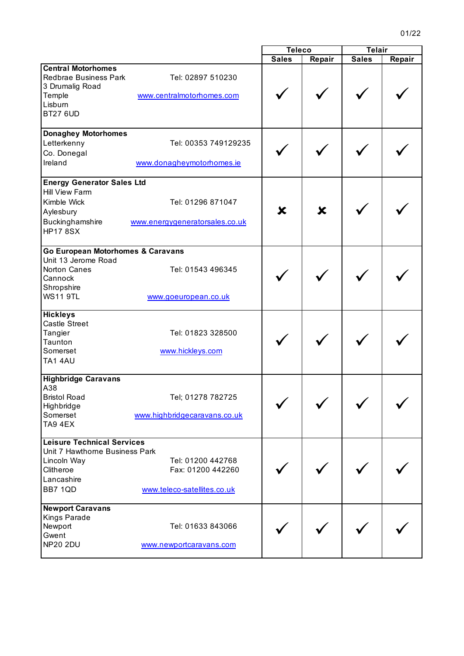$\overline{\mathbf{u}}$ 

|                                   |                                | <b>Teleco</b> |        | <b>Telair</b> |        |
|-----------------------------------|--------------------------------|---------------|--------|---------------|--------|
|                                   |                                | <b>Sales</b>  | Repair | <b>Sales</b>  | Repair |
| <b>Central Motorhomes</b>         |                                |               |        |               |        |
| <b>Redbrae Business Park</b>      | Tel: 02897 510230              |               |        |               |        |
| 3 Drumalig Road                   |                                |               |        |               |        |
| Temple                            | www.centralmotorhomes.com      |               |        |               |        |
| Lisburn                           |                                |               |        |               |        |
| <b>BT27 6UD</b>                   |                                |               |        |               |        |
|                                   |                                |               |        |               |        |
| <b>Donaghey Motorhomes</b>        |                                |               |        |               |        |
| Letterkenny                       | Tel: 00353 749129235           |               |        |               |        |
| Co. Donegal                       |                                |               |        |               |        |
| Ireland                           | www.donagheymotorhomes.ie      |               |        |               |        |
|                                   |                                |               |        |               |        |
| <b>Energy Generator Sales Ltd</b> |                                |               |        |               |        |
| <b>Hill View Farm</b>             |                                |               |        |               |        |
| Kimble Wick                       | Tel: 01296 871047              |               |        |               |        |
| Aylesbury                         |                                | X             | X      |               |        |
|                                   |                                |               |        |               |        |
| Buckinghamshire                   | www.energygeneratorsales.co.uk |               |        |               |        |
| <b>HP17 8SX</b>                   |                                |               |        |               |        |
| Go European Motorhomes & Caravans |                                |               |        |               |        |
| Unit 13 Jerome Road               |                                |               |        |               |        |
| Norton Canes                      | Tel: 01543 496345              |               |        |               |        |
| Cannock                           |                                |               |        |               |        |
| Shropshire                        |                                |               |        |               |        |
| <b>WS11 9TL</b>                   |                                |               |        |               |        |
|                                   | www.goeuropean.co.uk           |               |        |               |        |
| <b>Hickleys</b>                   |                                |               |        |               |        |
| <b>Castle Street</b>              |                                |               |        |               |        |
| Tangier                           | Tel: 01823 328500              |               |        |               |        |
| Taunton                           |                                |               |        |               |        |
| Somerset                          | www.hickleys.com               |               |        |               |        |
| TA1 4AU                           |                                |               |        |               |        |
|                                   |                                |               |        |               |        |
| <b>Highbridge Caravans</b>        |                                |               |        |               |        |
| A38                               |                                |               |        |               |        |
| <b>Bristol Road</b>               | Tel; 01278 782725              |               |        |               |        |
| Highbridge                        |                                |               |        |               |        |
| Somerset                          | www.highbridgecaravans.co.uk   |               |        |               |        |
| TA9 4EX                           |                                |               |        |               |        |
| <b>Leisure Technical Services</b> |                                |               |        |               |        |
| Unit 7 Hawthorne Business Park    |                                |               |        |               |        |
| Lincoln Way                       | Tel: 01200 442768              |               |        |               |        |
| Clitheroe                         | Fax: 01200 442260              |               |        |               |        |
| Lancashire                        |                                |               |        |               |        |
|                                   |                                |               |        |               |        |
| BB7 1QD                           | www.teleco-satellites.co.uk    |               |        |               |        |
| <b>Newport Caravans</b>           |                                |               |        |               |        |
| Kings Parade                      |                                |               |        |               |        |
| Newport                           | Tel: 01633 843066              |               |        |               |        |
| Gwent                             |                                |               |        |               |        |
| <b>NP20 2DU</b>                   | www.newportcaravans.com        |               |        |               |        |
|                                   |                                |               |        |               |        |

 $\overline{1}$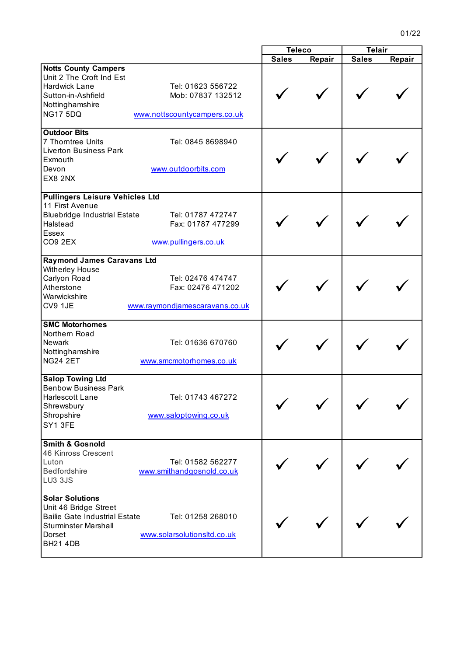|                                                                                                                                                                                                                |              | <b>Teleco</b> |              | <b>Telair</b> |  |
|----------------------------------------------------------------------------------------------------------------------------------------------------------------------------------------------------------------|--------------|---------------|--------------|---------------|--|
|                                                                                                                                                                                                                | <b>Sales</b> | Repair        | <b>Sales</b> | Repair        |  |
| <b>Notts County Campers</b><br>Unit 2 The Croft Ind Est<br>Hardwick Lane<br>Tel: 01623 556722<br>Sutton-in-Ashfield<br>Mob: 07837 132512<br>Nottinghamshire<br><b>NG17 5DQ</b><br>www.nottscountycampers.co.uk |              |               |              |               |  |
| <b>Outdoor Bits</b><br>7 Thorntree Units<br>Tel: 0845 8698940<br><b>Liverton Business Park</b><br>Exmouth<br>www.outdoorbits.com<br>Devon<br>EX8 2NX                                                           |              |               |              |               |  |
| <b>Pullingers Leisure Vehicles Ltd</b><br>11 First Avenue<br><b>Bluebridge Industrial Estate</b><br>Tel: 01787 472747<br>Fax: 01787 477299<br>Halstead<br>Essex<br>CO <sub>9</sub> 2EX<br>www.pullingers.co.uk |              |               |              |               |  |
| <b>Raymond James Caravans Ltd</b><br>Witherley House<br>Carlyon Road<br>Tel: 02476 474747<br>Atherstone<br>Fax: 02476 471202<br>Warwickshire<br>CV9 1JE<br>www.raymondjamescaravans.co.uk                      |              |               |              |               |  |
| <b>SMC Motorhomes</b><br>Northern Road<br><b>Newark</b><br>Tel: 01636 670760<br>Nottinghamshire<br><b>NG24 2ET</b><br>www.smcmotorhomes.co.uk                                                                  |              |               |              |               |  |
| <b>Salop Towing Ltd</b><br><b>Benbow Business Park</b><br>Harlescott Lane<br>Tel: 01743 467272<br>Shrewsbury<br>Shropshire<br>www.saloptowing.co.uk<br>SY1 3FE                                                 |              |               |              |               |  |
| <b>Smith &amp; Gosnold</b><br>46 Kinross Crescent<br>Tel: 01582 562277<br>Luton<br>Bedfordshire<br>www.smithandgosnold.co.uk<br>LU3 3JS                                                                        |              |               |              |               |  |
| <b>Solar Solutions</b><br>Unit 46 Bridge Street<br><b>Bailie Gate Industrial Estate</b><br>Tel: 01258 268010<br><b>Sturminster Marshall</b><br>Dorset<br>www.solarsolutionsltd.co.uk<br><b>BH21 4DB</b>        |              |               |              |               |  |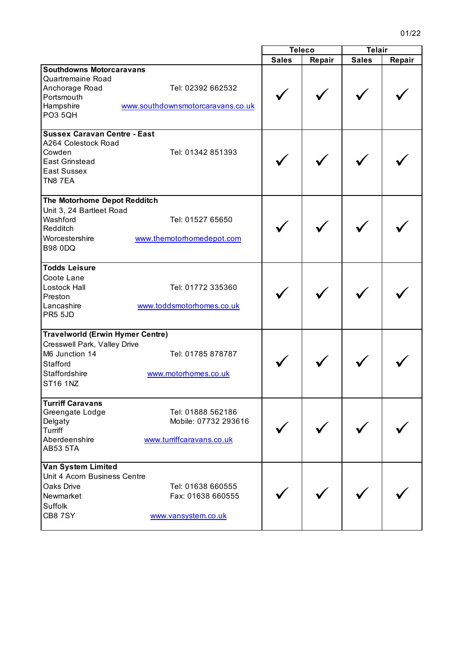|                                                                                                                                           |                                                                        | <b>Teleco</b> |        | <b>Telair</b> |        |
|-------------------------------------------------------------------------------------------------------------------------------------------|------------------------------------------------------------------------|---------------|--------|---------------|--------|
|                                                                                                                                           |                                                                        | <b>Sales</b>  | Repair | <b>Sales</b>  | Repair |
| <b>Southdowns Motorcaravans</b><br>Quartremaine Road<br>Anchorage Road<br>Portsmouth<br>Hampshire<br>PO3 5QH                              | Tel: 02392 662532<br>www.southdownsmotorcaravans.co.uk                 |               |        |               |        |
| <b>Sussex Caravan Centre - East</b><br>A264 Colestock Road<br>Cowden<br><b>East Grinstead</b><br><b>East Sussex</b><br><b>TN8 7EA</b>     | Tel: 01342 851393                                                      |               |        |               |        |
| The Motorhome Depot Redditch<br>Unit 3, 24 Bartleet Road<br>Washford<br>Redditch<br>Worcestershire<br><b>B98 0DQ</b>                      | Tel: 01527 65650<br>www.themotorhomedepot.com                          |               |        |               |        |
| <b>Todds Leisure</b><br>Coote Lane<br>Lostock Hall<br>Preston<br>Lancashire<br>PR5 5JD                                                    | Tel: 01772 335360<br>www.toddsmotorhomes.co.uk                         |               |        |               |        |
| <b>Travelworld (Erwin Hymer Centre)</b><br>Cresswell Park, Valley Drive<br>M6 Junction 14<br>Stafford<br>Staffordshire<br><b>ST16 1NZ</b> | Tel: 01785 878787<br>www.motorhomes.co.uk                              |               |        |               |        |
| <b>Turriff Caravans</b><br>Greengate Lodge<br>Delgaty<br>Turriff<br>Aberdeenshire<br><b>AB53 5TA</b>                                      | Tel: 01888 562186<br>Mobile: 07732 293616<br>www.turriffcaravans.co.uk |               |        |               |        |
| Van System Limited<br>Unit 4 Acorn Business Centre<br>Oaks Drive<br>Newmarket<br>Suffolk<br><b>CB87SY</b>                                 | Tel: 01638 660555<br>Fax: 01638 660555<br>www.vansystem.co.uk          |               |        |               |        |